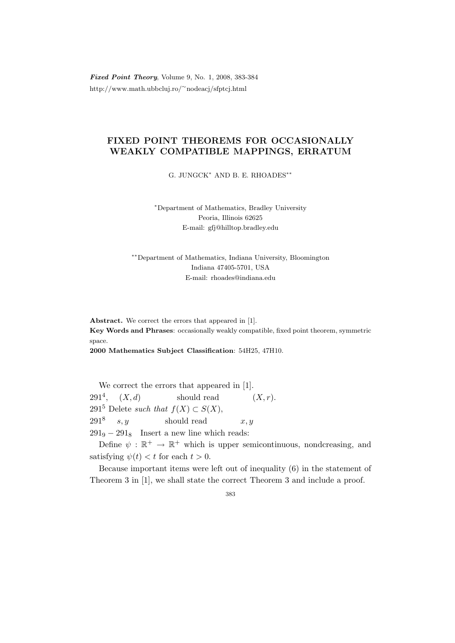Fixed Point Theory, Volume 9, No. 1, 2008, 383-384 http://www.math.ubbcluj.ro/<sup>∼</sup>nodeacj/sfptcj.html

## FIXED POINT THEOREMS FOR OCCASIONALLY WEAKLY COMPATIBLE MAPPINGS, ERRATUM

G. JUNGCK<sup>∗</sup> AND B. E. RHOADES∗∗

<sup>∗</sup>Department of Mathematics, Bradley University Peoria, Illinois 62625 E-mail: gfj@hilltop.bradley.edu

∗∗Department of Mathematics, Indiana University, Bloomington Indiana 47405-5701, USA E-mail: rhoades@indiana.edu

Abstract. We correct the errors that appeared in [1]. Key Words and Phrases: occasionally weakly compatible, fixed point theorem, symmetric space.

2000 Mathematics Subject Classification: 54H25, 47H10.

We correct the errors that appeared in [1].  $291^4$ ,  $(X, d)$ should read  $(X, r)$ . 291<sup>5</sup> Delete such that  $f(X) \subset S(X)$ ,  $291^8 \t s, y$ should read  $x, y$  $291<sub>9</sub> - 291<sub>8</sub>$  Insert a new line which reads:

Define  $\psi : \mathbb{R}^+ \to \mathbb{R}^+$  which is upper semicontinuous, nondcreasing, and satisfying  $\psi(t) < t$  for each  $t > 0$ .

Because important items were left out of inequality (6) in the statement of Theorem 3 in [1], we shall state the correct Theorem 3 and include a proof.

383